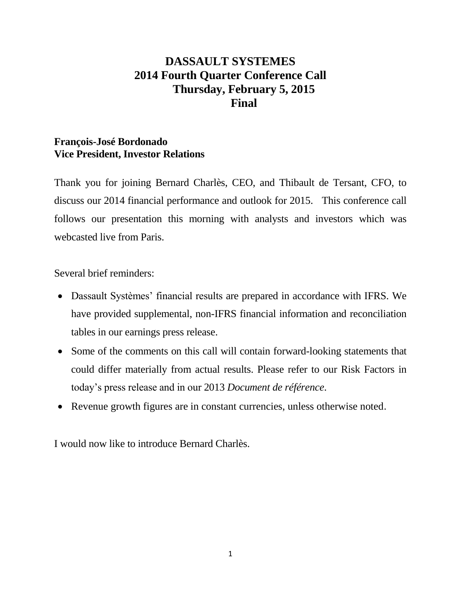# **DASSAULT SYSTEMES 2014 Fourth Quarter Conference Call Thursday, February 5, 2015 Final**

# **François-José Bordonado Vice President, Investor Relations**

Thank you for joining Bernard Charlès, CEO, and Thibault de Tersant, CFO, to discuss our 2014 financial performance and outlook for 2015. This conference call follows our presentation this morning with analysts and investors which was webcasted live from Paris.

Several brief reminders:

- Dassault Systèmes' financial results are prepared in accordance with IFRS. We have provided supplemental, non-IFRS financial information and reconciliation tables in our earnings press release.
- Some of the comments on this call will contain forward-looking statements that could differ materially from actual results. Please refer to our Risk Factors in today's press release and in our 2013 *Document de référence*.
- Revenue growth figures are in constant currencies, unless otherwise noted.

I would now like to introduce Bernard Charlès.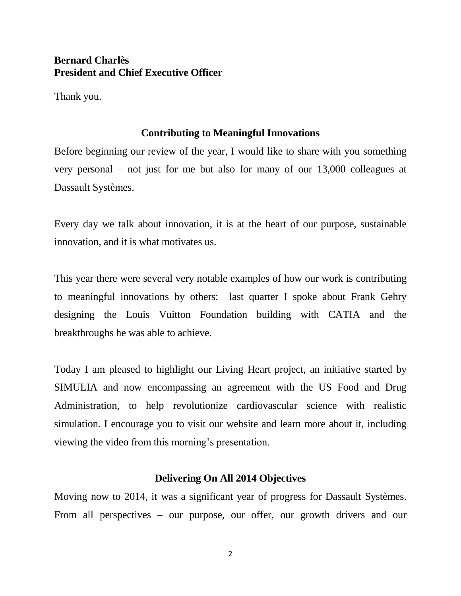# **Bernard Charlès President and Chief Executive Officer**

Thank you.

# **Contributing to Meaningful Innovations**

Before beginning our review of the year, I would like to share with you something very personal – not just for me but also for many of our 13,000 colleagues at Dassault Systèmes.

Every day we talk about innovation, it is at the heart of our purpose, sustainable innovation, and it is what motivates us.

This year there were several very notable examples of how our work is contributing to meaningful innovations by others: last quarter I spoke about Frank Gehry designing the Louis Vuitton Foundation building with CATIA and the breakthroughs he was able to achieve.

Today I am pleased to highlight our Living Heart project, an initiative started by SIMULIA and now encompassing an agreement with the US Food and Drug Administration, to help revolutionize cardiovascular science with realistic simulation. I encourage you to visit our website and learn more about it, including viewing the video from this morning's presentation.

# **Delivering On All 2014 Objectives**

Moving now to 2014, it was a significant year of progress for Dassault Systèmes. From all perspectives – our purpose, our offer, our growth drivers and our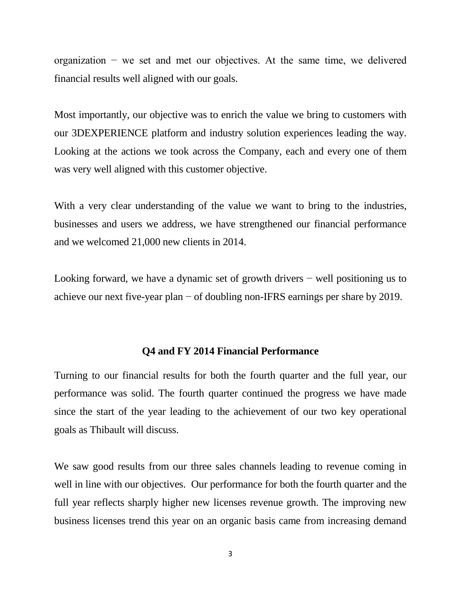organization − we set and met our objectives. At the same time, we delivered financial results well aligned with our goals.

Most importantly, our objective was to enrich the value we bring to customers with our 3DEXPERIENCE platform and industry solution experiences leading the way. Looking at the actions we took across the Company, each and every one of them was very well aligned with this customer objective.

With a very clear understanding of the value we want to bring to the industries, businesses and users we address, we have strengthened our financial performance and we welcomed 21,000 new clients in 2014.

Looking forward, we have a dynamic set of growth drivers − well positioning us to achieve our next five-year plan − of doubling non-IFRS earnings per share by 2019.

#### **Q4 and FY 2014 Financial Performance**

Turning to our financial results for both the fourth quarter and the full year, our performance was solid. The fourth quarter continued the progress we have made since the start of the year leading to the achievement of our two key operational goals as Thibault will discuss.

We saw good results from our three sales channels leading to revenue coming in well in line with our objectives. Our performance for both the fourth quarter and the full year reflects sharply higher new licenses revenue growth. The improving new business licenses trend this year on an organic basis came from increasing demand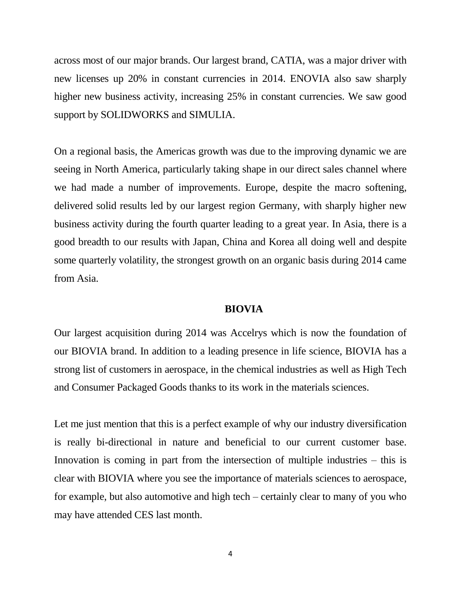across most of our major brands. Our largest brand, CATIA, was a major driver with new licenses up 20% in constant currencies in 2014. ENOVIA also saw sharply higher new business activity, increasing 25% in constant currencies. We saw good support by SOLIDWORKS and SIMULIA.

On a regional basis, the Americas growth was due to the improving dynamic we are seeing in North America, particularly taking shape in our direct sales channel where we had made a number of improvements. Europe, despite the macro softening, delivered solid results led by our largest region Germany, with sharply higher new business activity during the fourth quarter leading to a great year. In Asia, there is a good breadth to our results with Japan, China and Korea all doing well and despite some quarterly volatility, the strongest growth on an organic basis during 2014 came from Asia.

#### **BIOVIA**

Our largest acquisition during 2014 was Accelrys which is now the foundation of our BIOVIA brand. In addition to a leading presence in life science, BIOVIA has a strong list of customers in aerospace, in the chemical industries as well as High Tech and Consumer Packaged Goods thanks to its work in the materials sciences.

Let me just mention that this is a perfect example of why our industry diversification is really bi-directional in nature and beneficial to our current customer base. Innovation is coming in part from the intersection of multiple industries – this is clear with BIOVIA where you see the importance of materials sciences to aerospace, for example, but also automotive and high tech – certainly clear to many of you who may have attended CES last month.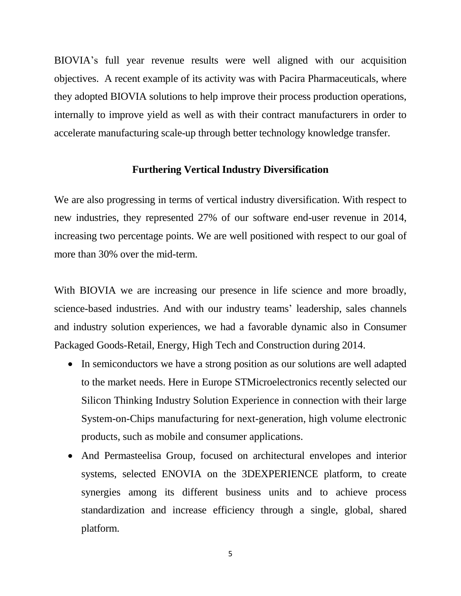BIOVIA's full year revenue results were well aligned with our acquisition objectives. A recent example of its activity was with Pacira Pharmaceuticals, where they adopted BIOVIA solutions to help improve their process production operations, internally to improve yield as well as with their contract manufacturers in order to accelerate manufacturing scale-up through better technology knowledge transfer.

### **Furthering Vertical Industry Diversification**

We are also progressing in terms of vertical industry diversification. With respect to new industries, they represented 27% of our software end-user revenue in 2014, increasing two percentage points. We are well positioned with respect to our goal of more than 30% over the mid-term.

With BIOVIA we are increasing our presence in life science and more broadly, science-based industries. And with our industry teams' leadership, sales channels and industry solution experiences, we had a favorable dynamic also in Consumer Packaged Goods-Retail, Energy, High Tech and Construction during 2014.

- In semiconductors we have a strong position as our solutions are well adapted to the market needs. Here in Europe STMicroelectronics recently selected our Silicon Thinking Industry Solution Experience in connection with their large System-on-Chips manufacturing for next-generation, high volume electronic products, such as mobile and consumer applications.
- And Permasteelisa Group, focused on architectural envelopes and interior systems, selected ENOVIA on the 3DEXPERIENCE platform, to create synergies among its different business units and to achieve process standardization and increase efficiency through a single, global, shared platform.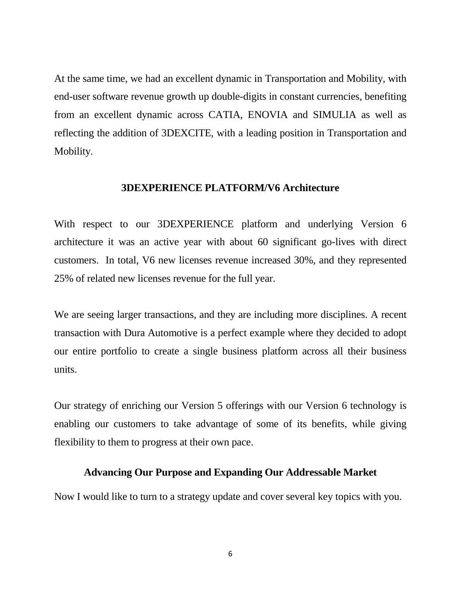At the same time, we had an excellent dynamic in Transportation and Mobility, with end-user software revenue growth up double-digits in constant currencies, benefiting from an excellent dynamic across CATIA, ENOVIA and SIMULIA as well as reflecting the addition of 3DEXCITE, with a leading position in Transportation and Mobility.

### **3DEXPERIENCE PLATFORM/V6 Architecture**

With respect to our 3DEXPERIENCE platform and underlying Version 6 architecture it was an active year with about 60 significant go-lives with direct customers. In total, V6 new licenses revenue increased 30%, and they represented 25% of related new licenses revenue for the full year.

We are seeing larger transactions, and they are including more disciplines. A recent transaction with Dura Automotive is a perfect example where they decided to adopt our entire portfolio to create a single business platform across all their business units.

Our strategy of enriching our Version 5 offerings with our Version 6 technology is enabling our customers to take advantage of some of its benefits, while giving flexibility to them to progress at their own pace.

## **Advancing Our Purpose and Expanding Our Addressable Market**

Now I would like to turn to a strategy update and cover several key topics with you.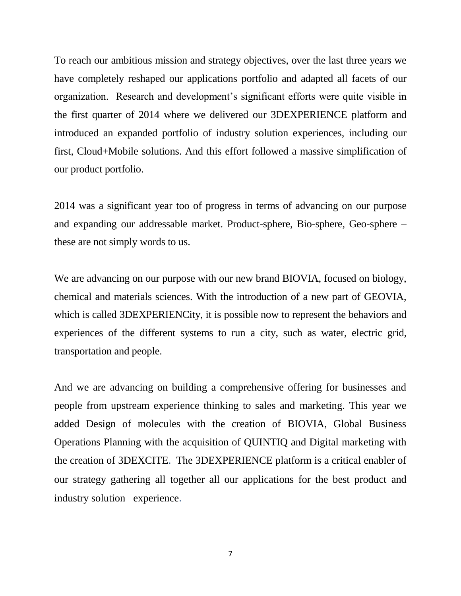To reach our ambitious mission and strategy objectives, over the last three years we have completely reshaped our applications portfolio and adapted all facets of our organization. Research and development's significant efforts were quite visible in the first quarter of 2014 where we delivered our 3DEXPERIENCE platform and introduced an expanded portfolio of industry solution experiences, including our first, Cloud+Mobile solutions. And this effort followed a massive simplification of our product portfolio.

2014 was a significant year too of progress in terms of advancing on our purpose and expanding our addressable market. Product-sphere, Bio-sphere, Geo-sphere – these are not simply words to us.

We are advancing on our purpose with our new brand BIOVIA, focused on biology, chemical and materials sciences. With the introduction of a new part of GEOVIA, which is called 3DEXPERIENCity, it is possible now to represent the behaviors and experiences of the different systems to run a city, such as water, electric grid, transportation and people.

And we are advancing on building a comprehensive offering for businesses and people from upstream experience thinking to sales and marketing. This year we added Design of molecules with the creation of BIOVIA, Global Business Operations Planning with the acquisition of QUINTIQ and Digital marketing with the creation of 3DEXCITE. The 3DEXPERIENCE platform is a critical enabler of our strategy gathering all together all our applications for the best product and industry solution experience.

7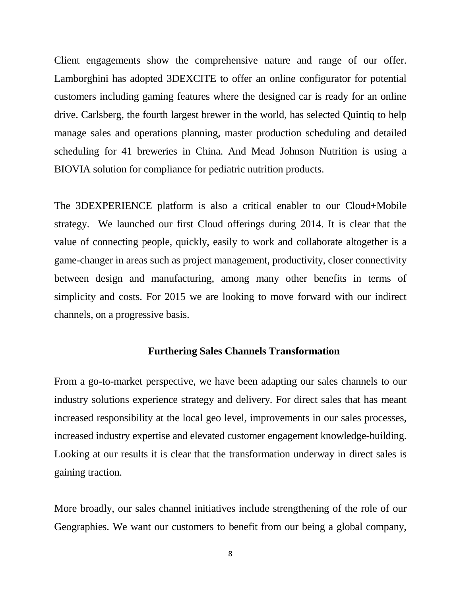Client engagements show the comprehensive nature and range of our offer. Lamborghini has adopted 3DEXCITE to offer an online configurator for potential customers including gaming features where the designed car is ready for an online drive. Carlsberg, the fourth largest brewer in the world, has selected Quintiq to help manage sales and operations planning, master production scheduling and detailed scheduling for 41 breweries in China. And Mead Johnson Nutrition is using a BIOVIA solution for compliance for pediatric nutrition products.

The 3DEXPERIENCE platform is also a critical enabler to our Cloud+Mobile strategy. We launched our first Cloud offerings during 2014. It is clear that the value of connecting people, quickly, easily to work and collaborate altogether is a game-changer in areas such as project management, productivity, closer connectivity between design and manufacturing, among many other benefits in terms of simplicity and costs. For 2015 we are looking to move forward with our indirect channels, on a progressive basis.

# **Furthering Sales Channels Transformation**

From a go-to-market perspective, we have been adapting our sales channels to our industry solutions experience strategy and delivery. For direct sales that has meant increased responsibility at the local geo level, improvements in our sales processes, increased industry expertise and elevated customer engagement knowledge-building. Looking at our results it is clear that the transformation underway in direct sales is gaining traction.

More broadly, our sales channel initiatives include strengthening of the role of our Geographies. We want our customers to benefit from our being a global company,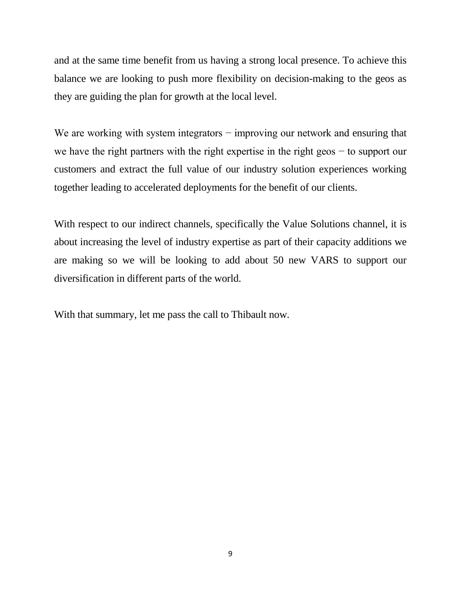and at the same time benefit from us having a strong local presence. To achieve this balance we are looking to push more flexibility on decision-making to the geos as they are guiding the plan for growth at the local level.

We are working with system integrators – improving our network and ensuring that we have the right partners with the right expertise in the right geos − to support our customers and extract the full value of our industry solution experiences working together leading to accelerated deployments for the benefit of our clients.

With respect to our indirect channels, specifically the Value Solutions channel, it is about increasing the level of industry expertise as part of their capacity additions we are making so we will be looking to add about 50 new VARS to support our diversification in different parts of the world.

With that summary, let me pass the call to Thibault now.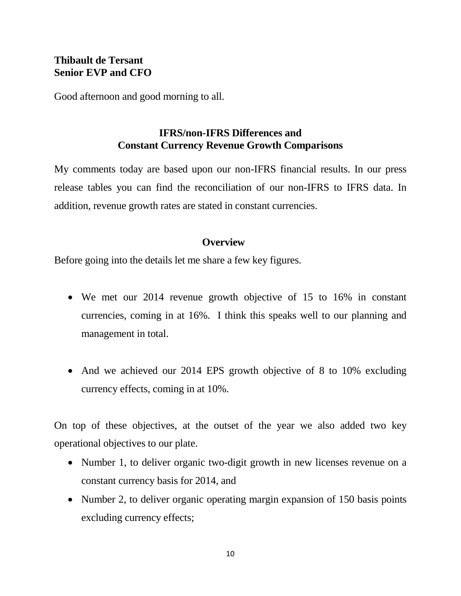# **Thibault de Tersant Senior EVP and CFO**

Good afternoon and good morning to all.

# **IFRS/non-IFRS Differences and Constant Currency Revenue Growth Comparisons**

My comments today are based upon our non-IFRS financial results. In our press release tables you can find the reconciliation of our non-IFRS to IFRS data. In addition, revenue growth rates are stated in constant currencies.

# **Overview**

Before going into the details let me share a few key figures.

- We met our 2014 revenue growth objective of 15 to 16% in constant currencies, coming in at 16%. I think this speaks well to our planning and management in total.
- And we achieved our 2014 EPS growth objective of 8 to 10% excluding currency effects, coming in at 10%.

On top of these objectives, at the outset of the year we also added two key operational objectives to our plate.

- Number 1, to deliver organic two-digit growth in new licenses revenue on a constant currency basis for 2014, and
- Number 2, to deliver organic operating margin expansion of 150 basis points excluding currency effects;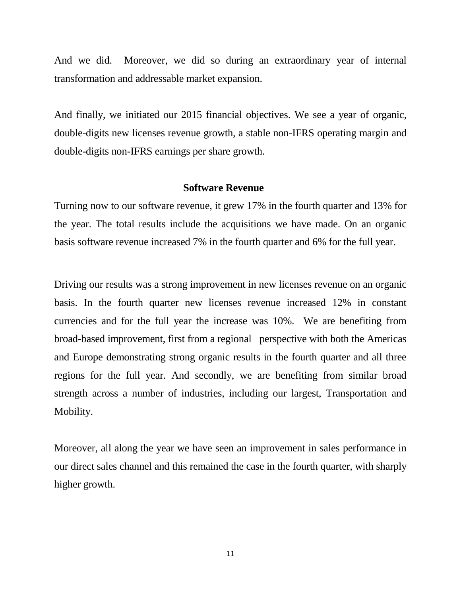And we did. Moreover, we did so during an extraordinary year of internal transformation and addressable market expansion.

And finally, we initiated our 2015 financial objectives. We see a year of organic, double-digits new licenses revenue growth, a stable non-IFRS operating margin and double-digits non-IFRS earnings per share growth.

### **Software Revenue**

Turning now to our software revenue, it grew 17% in the fourth quarter and 13% for the year. The total results include the acquisitions we have made. On an organic basis software revenue increased 7% in the fourth quarter and 6% for the full year.

Driving our results was a strong improvement in new licenses revenue on an organic basis. In the fourth quarter new licenses revenue increased 12% in constant currencies and for the full year the increase was 10%. We are benefiting from broad-based improvement, first from a regional perspective with both the Americas and Europe demonstrating strong organic results in the fourth quarter and all three regions for the full year. And secondly, we are benefiting from similar broad strength across a number of industries, including our largest, Transportation and Mobility.

Moreover, all along the year we have seen an improvement in sales performance in our direct sales channel and this remained the case in the fourth quarter, with sharply higher growth.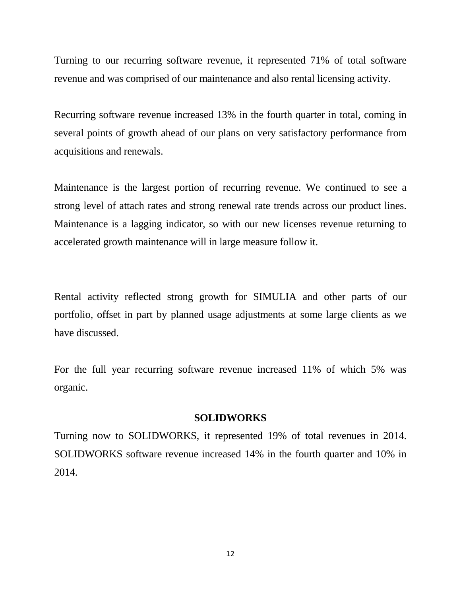Turning to our recurring software revenue, it represented 71% of total software revenue and was comprised of our maintenance and also rental licensing activity.

Recurring software revenue increased 13% in the fourth quarter in total, coming in several points of growth ahead of our plans on very satisfactory performance from acquisitions and renewals.

Maintenance is the largest portion of recurring revenue. We continued to see a strong level of attach rates and strong renewal rate trends across our product lines. Maintenance is a lagging indicator, so with our new licenses revenue returning to accelerated growth maintenance will in large measure follow it.

Rental activity reflected strong growth for SIMULIA and other parts of our portfolio, offset in part by planned usage adjustments at some large clients as we have discussed.

For the full year recurring software revenue increased 11% of which 5% was organic.

#### **SOLIDWORKS**

Turning now to SOLIDWORKS, it represented 19% of total revenues in 2014. SOLIDWORKS software revenue increased 14% in the fourth quarter and 10% in 2014.

12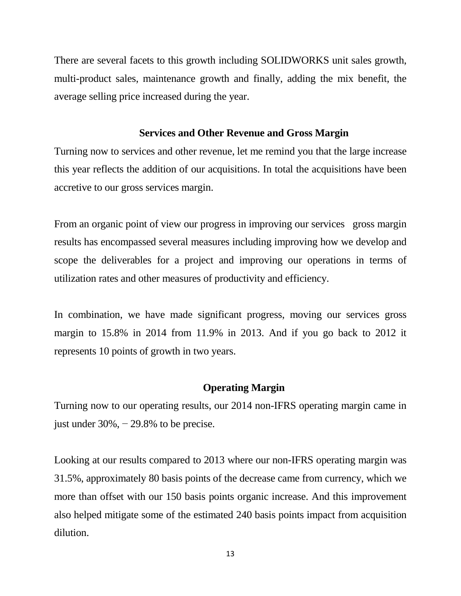There are several facets to this growth including SOLIDWORKS unit sales growth, multi-product sales, maintenance growth and finally, adding the mix benefit, the average selling price increased during the year.

# **Services and Other Revenue and Gross Margin**

Turning now to services and other revenue, let me remind you that the large increase this year reflects the addition of our acquisitions. In total the acquisitions have been accretive to our gross services margin.

From an organic point of view our progress in improving our services gross margin results has encompassed several measures including improving how we develop and scope the deliverables for a project and improving our operations in terms of utilization rates and other measures of productivity and efficiency.

In combination, we have made significant progress, moving our services gross margin to 15.8% in 2014 from 11.9% in 2013. And if you go back to 2012 it represents 10 points of growth in two years.

# **Operating Margin**

Turning now to our operating results, our 2014 non-IFRS operating margin came in just under  $30\%$ ,  $-29.8\%$  to be precise.

Looking at our results compared to 2013 where our non-IFRS operating margin was 31.5%, approximately 80 basis points of the decrease came from currency, which we more than offset with our 150 basis points organic increase. And this improvement also helped mitigate some of the estimated 240 basis points impact from acquisition dilution.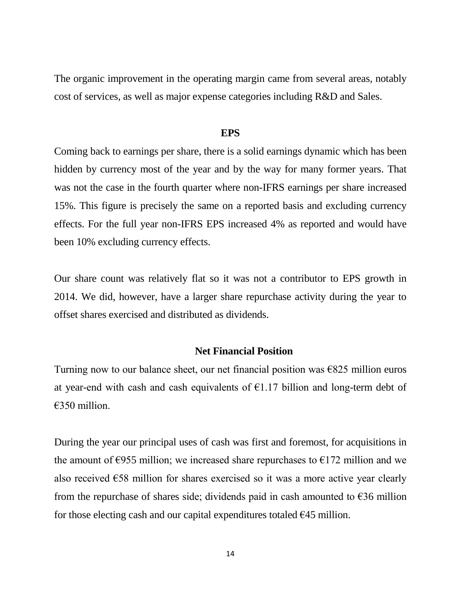The organic improvement in the operating margin came from several areas, notably cost of services, as well as major expense categories including R&D and Sales.

#### **EPS**

Coming back to earnings per share, there is a solid earnings dynamic which has been hidden by currency most of the year and by the way for many former years. That was not the case in the fourth quarter where non-IFRS earnings per share increased 15%. This figure is precisely the same on a reported basis and excluding currency effects. For the full year non-IFRS EPS increased 4% as reported and would have been 10% excluding currency effects.

Our share count was relatively flat so it was not a contributor to EPS growth in 2014. We did, however, have a larger share repurchase activity during the year to offset shares exercised and distributed as dividends.

### **Net Financial Position**

Turning now to our balance sheet, our net financial position was  $\epsilon$ 825 million euros at year-end with cash and cash equivalents of  $E1.17$  billion and long-term debt of €350 million.

During the year our principal uses of cash was first and foremost, for acquisitions in the amount of  $\epsilon$ 955 million; we increased share repurchases to  $\epsilon$ 172 million and we also received  $\epsilon$ 58 million for shares exercised so it was a more active year clearly from the repurchase of shares side; dividends paid in cash amounted to  $\epsilon$ 36 million for those electing cash and our capital expenditures totaled  $\epsilon$ 45 million.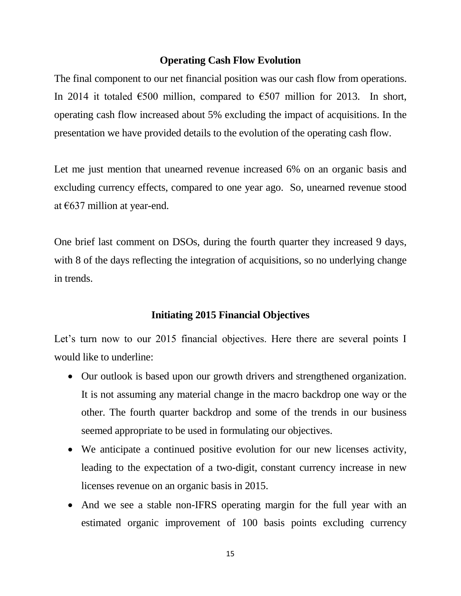# **Operating Cash Flow Evolution**

The final component to our net financial position was our cash flow from operations. In 2014 it totaled  $\epsilon$ 500 million, compared to  $\epsilon$ 507 million for 2013. In short, operating cash flow increased about 5% excluding the impact of acquisitions. In the presentation we have provided details to the evolution of the operating cash flow.

Let me just mention that unearned revenue increased 6% on an organic basis and excluding currency effects, compared to one year ago. So, unearned revenue stood at €637 million at year-end.

One brief last comment on DSOs, during the fourth quarter they increased 9 days, with 8 of the days reflecting the integration of acquisitions, so no underlying change in trends.

# **Initiating 2015 Financial Objectives**

Let's turn now to our 2015 financial objectives. Here there are several points I would like to underline:

- Our outlook is based upon our growth drivers and strengthened organization. It is not assuming any material change in the macro backdrop one way or the other. The fourth quarter backdrop and some of the trends in our business seemed appropriate to be used in formulating our objectives.
- We anticipate a continued positive evolution for our new licenses activity, leading to the expectation of a two-digit, constant currency increase in new licenses revenue on an organic basis in 2015.
- And we see a stable non-IFRS operating margin for the full year with an estimated organic improvement of 100 basis points excluding currency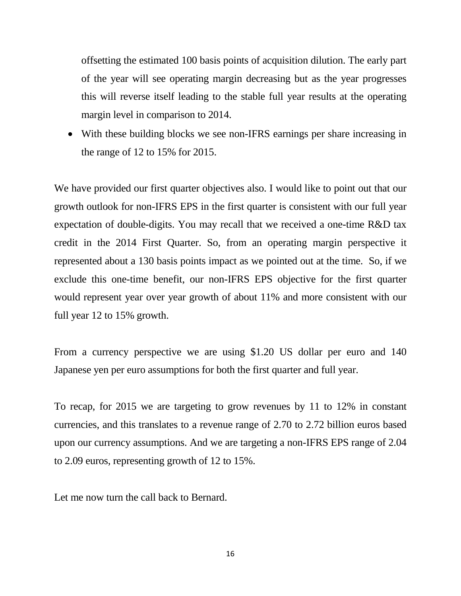offsetting the estimated 100 basis points of acquisition dilution. The early part of the year will see operating margin decreasing but as the year progresses this will reverse itself leading to the stable full year results at the operating margin level in comparison to 2014.

• With these building blocks we see non-IFRS earnings per share increasing in the range of 12 to 15% for 2015.

We have provided our first quarter objectives also. I would like to point out that our growth outlook for non-IFRS EPS in the first quarter is consistent with our full year expectation of double-digits. You may recall that we received a one-time R&D tax credit in the 2014 First Quarter. So, from an operating margin perspective it represented about a 130 basis points impact as we pointed out at the time. So, if we exclude this one-time benefit, our non-IFRS EPS objective for the first quarter would represent year over year growth of about 11% and more consistent with our full year 12 to 15% growth.

From a currency perspective we are using \$1.20 US dollar per euro and 140 Japanese yen per euro assumptions for both the first quarter and full year.

To recap, for 2015 we are targeting to grow revenues by 11 to 12% in constant currencies, and this translates to a revenue range of 2.70 to 2.72 billion euros based upon our currency assumptions. And we are targeting a non-IFRS EPS range of 2.04 to 2.09 euros, representing growth of 12 to 15%.

Let me now turn the call back to Bernard.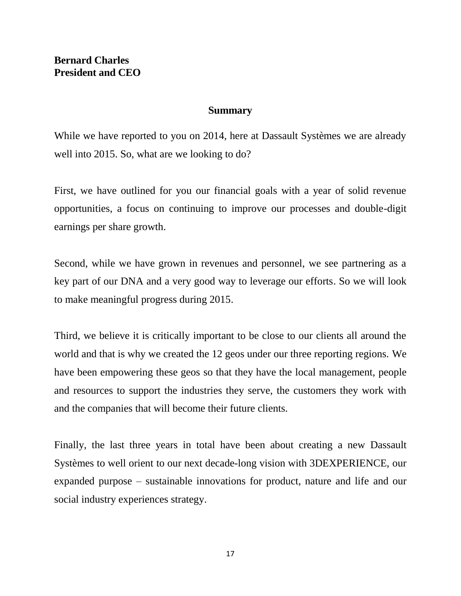## **Summary**

While we have reported to you on 2014, here at Dassault Systèmes we are already well into 2015. So, what are we looking to do?

First, we have outlined for you our financial goals with a year of solid revenue opportunities, a focus on continuing to improve our processes and double-digit earnings per share growth.

Second, while we have grown in revenues and personnel, we see partnering as a key part of our DNA and a very good way to leverage our efforts. So we will look to make meaningful progress during 2015.

Third, we believe it is critically important to be close to our clients all around the world and that is why we created the 12 geos under our three reporting regions. We have been empowering these geos so that they have the local management, people and resources to support the industries they serve, the customers they work with and the companies that will become their future clients.

Finally, the last three years in total have been about creating a new Dassault Systèmes to well orient to our next decade-long vision with 3DEXPERIENCE, our expanded purpose – sustainable innovations for product, nature and life and our social industry experiences strategy.

17